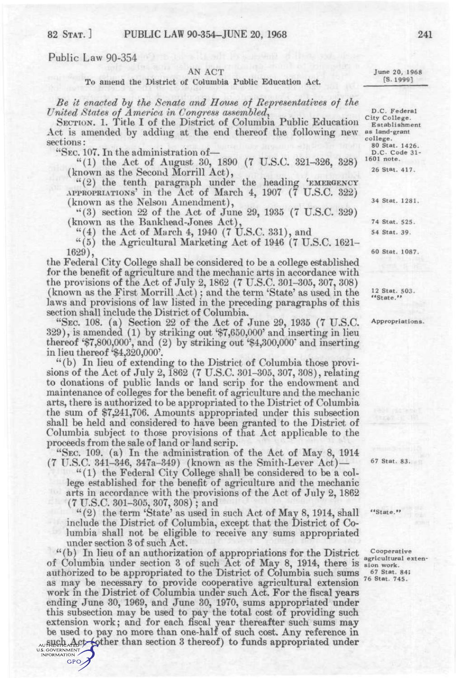## Public Law 90-354

## AN ACT

To amend the District of Columbia Public Education Act.

*Be it enacted hy the Senate and House of Representatives of the United States of America in Congress assembled^* 

SECTION. 1. Title I of the District of Columbia Public Education Act is amended by adding at the end thereof the following new sections:

"SEC. 107. In the administration of—

"(1) the Act of August 30, 1890 (7 U.S.C. 321-326, 328) (known as the Second Morrill Act),

"(2) the tenth paragraph under the heading 'EMERGENCY APPROPRIATIONS' in the Act of March 4, 1907 (7 U.S.C. 322) (known as the Nelson Amendment),

"(3) section 22 of the Act of June 29, 1935 (7 U.S.C. 329) (known as the Bankhead-Jones Act),

 $(4)$  the Act of March 4, 1940 (7 U.S.C. 331), and

"(5) the Agricultural Marketing Act of 1946 (7 U.S.C. 1621- 1629),

the Federal City College shall be considered to be a college established for the benefit of agriculture and the mechanic arts in accordance with the provisions of the Act of July 2, 1862 (7 U.S.C. 301-305, 307, 308) (known as the First Morrill Act); and the term 'State' as used in the laws and provisions of law listed in the preceding paragraphs of this section shall include the District of Columbia.

"SEC. 108. (a) Section 22 of the Act of June 29, 1935 (7 U.S.C. 329), is amended (1) by striking out '\$7,650,000' and inserting in lieu thereof '\$7,800,000', and (2) by striking out '\$4,300,000\* and inserting in lieu thereof '\$4,320,000'.

"(b) In lieu of extending to the District of Columbia those provisions of the Act of July 2, 1862 (7 U.S.C. 301-305, 307, 308), relating to donations of public lands or land scrip for the endowment and maintenance of colleges for the benefit of agriculture and the mechanic arts, there is authorized to be appropriated to the District of Columbia the sum of \$7,241,706. Amounts appropriated under this subsection shall be held and considered to have been granted to the District of Columbia subject to those provisions of that Act applicable to the proceeds from the sale of land or land scrip.

"SEC. 109. (a) In the administration of the Act of May 8, 1914 (7 U.S.C. 341-346, 347a-349) (known as the Smith-Lever Act) —

"(1) the Federal City College shall be considered to be a college established for the benefit of agriculture and the mechanic arts in accordance with the provisions of the Act of July 2, 1862 (7 U.S.C. 301-305, 307, 308); and

" $(2)$  the term 'State' as used in such Act of May 8, 1914, shall include the District of Columbia, except that the District of Columbia shall not be eligible to receive any sums appropriated under section 3 of such Act.

"(b) In lieu of an authorization of appropriations for the District of Columbia under section 3 of such Act of May 8, 1914, there is sign work.<br>authorized to be appropriated to the District of Columbia such sums 67 Stat. 84; authorized to be appropriated to the District of Columbia such sums as may be necessary to provide cooperative agricultural extension work in the District of Columbia under such Act. For the fiscal years ending June 30, 1969, and June 30, 1970, sums appropriated under this subsection may be used to pay the total cost of providing such extension work; and for each fiscal year thereafter such sums may be used to pay no more than one-half of such cost. Any reference in AUTHEME ALCO COTHER THAN SECTION 3 thereof) to funds appropriated under<br>US COVERNMENT CONTROL

GPO,

June 20, 1968 [S.1999]

D.C. Federal City College. Establishment

as land-grant college. 80 Stat. 1426.

D.C. Code 31 - 1601 note.

26 Stat. 417.

34 Stat. 1281.

74 Stat. 525. 54 Stat. 39,

60 Stat. 1087.

12 Stat. 503. "State. "

Appropriations.

67 Stat. 83.

"State. "

Cooperative agricultural exten-76 Stat. 745.